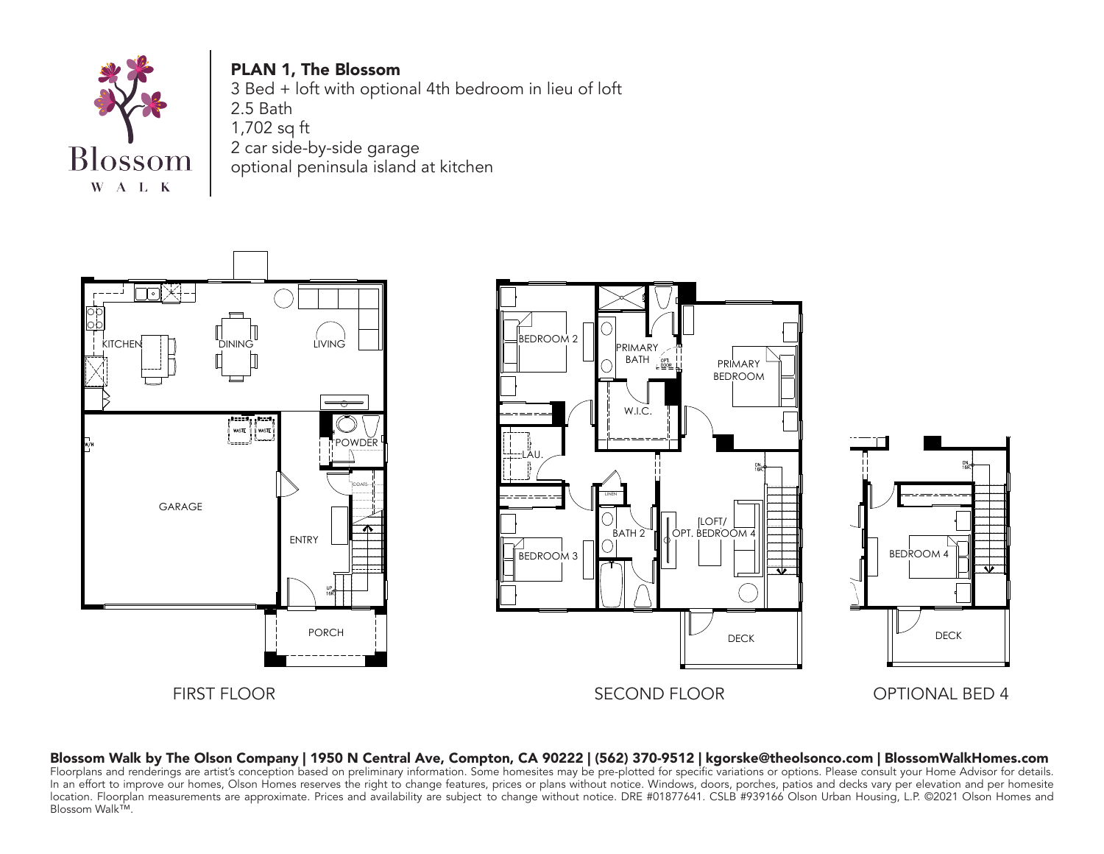

Blossom Walk™.

PLAN 1, The Blossom 3 Bed + loft with optional 4th bedroom in lieu of loft 2.5 Bath 1,702 sq ft 2 car side-by-side garage optional peninsula island at kitchen





Blossom Walk by The Olson Company | 1950 N Central Ave, Compton, CA 90222 | (562) 370-9512 | kgorske@theolsonco.com | BlossomWalkHomes.com Floorplans and renderings are artist's conception based on preliminary information. Some homesites may be pre-plotted for specific variations or options. Please consult your Home Advisor for details. In an effort to improve our homes, Olson Homes reserves the right to change features, prices or plans without notice. Windows, doors, porches, patios and decks vary per elevation and per homesite location. Floorplan measurements are approximate. Prices and availability are subject to change without notice. DRE #01877641. CSLB #939166 Olson Urban Housing, L.P. ©2021 Olson Homes and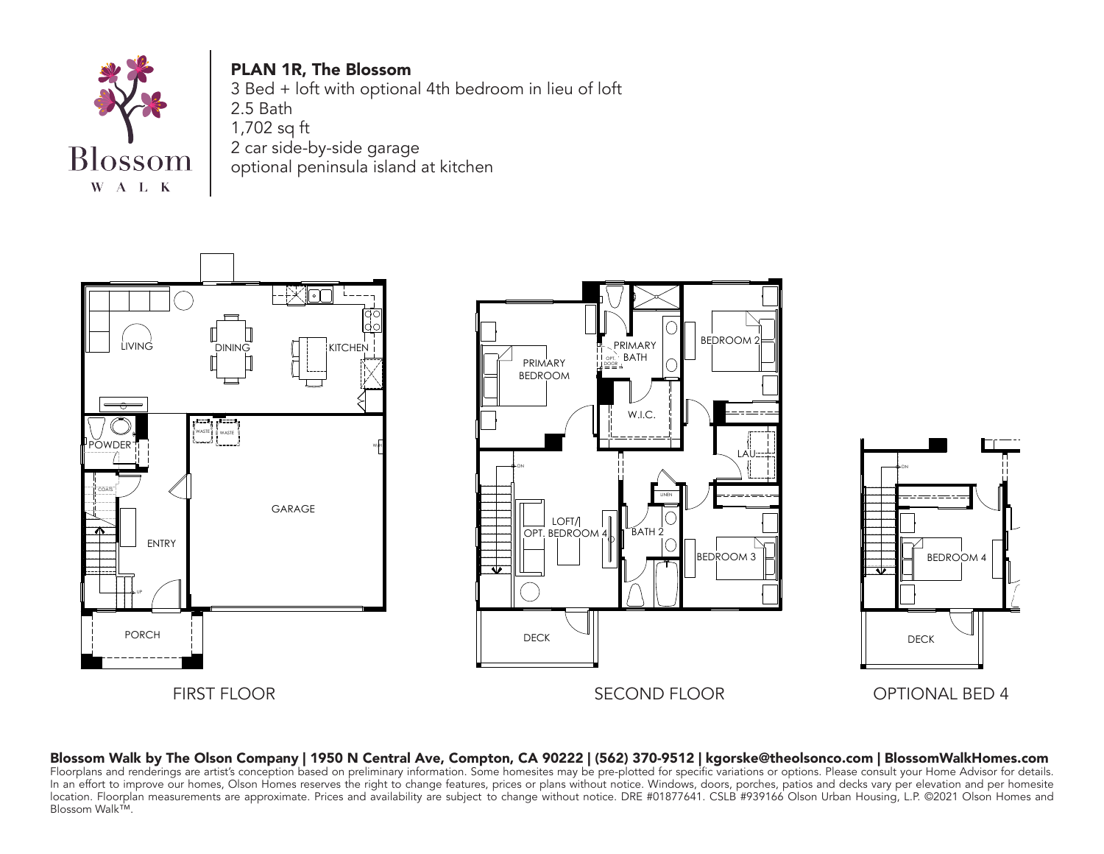

PLAN 1R, The Blossom 3 Bed + loft with optional 4th bedroom in lieu of loft 2.5 Bath 1,702 sq ft 2 car side-by-side garage optional peninsula island at kitchen







## Blossom Walk by The Olson Company | 1950 N Central Ave, Compton, CA 90222 | (562) 370-9512 | kgorske@theolsonco.com | BlossomWalkHomes.com Floorplans and renderings are artist's conception based on preliminary information. Some homesites may be pre-plotted for specific variations or options. Please consult your Home Advisor for details.

om Walk™.<br>om Walk™.  $\mathsf{B}$ lossom Walk $\mathsf{I}^\mathsf{M}$ . In an effort to improve our homes, Olson Homes reserves the right to change features, prices or plans without notice. Windows, doors, porches, patios and decks vary per elevation and per homesite location. Floorplan measurements are approximate. Prices and availability are subject to change without notice. DRE #01877641. CSLB #939166 Olson Urban Housing, L.P. ©2021 Olson Homes and Blossom Walk™.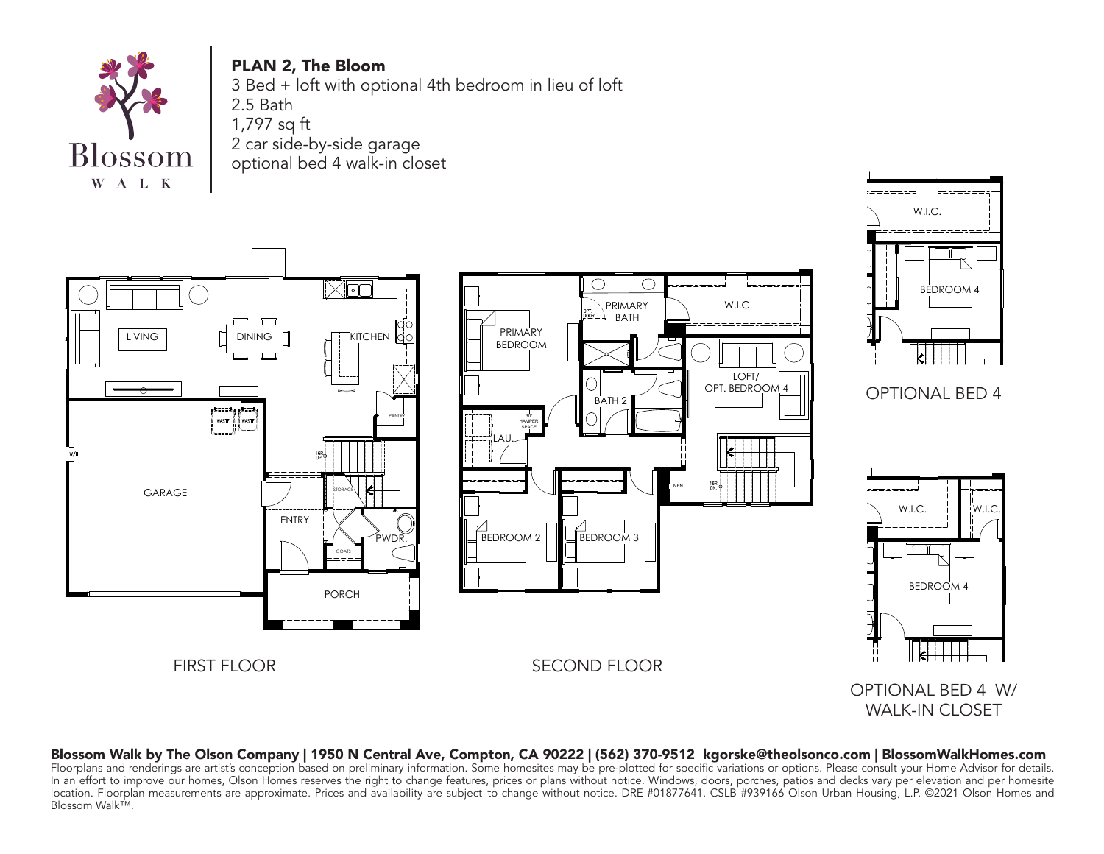

PLAN 2, The Bloom 3 Bed + loft with optional 4th bedroom in lieu of loft 2.5 Bath 1,797 sq ft 2 car side-by-side garage optional bed 4 walk-in closet



## Blossom Walk by The Olson Company | 1950 N Central Ave, Compton, CA 90222 | (562) 370-9512 kgorske@theolsonco.com | BlossomWalkHomes.com

Blossom Walk™. location. Floorplan measurements are approximate. Prices and availability are subject to change without notice. DRE #01877641. CSLB #939166 Olson Urban Housing, L.P. ©2021 Olson Homes and<br>Plassery Wall-IM Floorplans and renderings are artist's conception based on preliminary information. Some homesites may be pre-plotted for specific variations or options. Please consult your Home Advisor for details. In an effort to improve our homes, Olson Homes reserves the right to change features, prices or plans without notice. Windows, doors, porches, patios and decks vary per elevation and per homesite